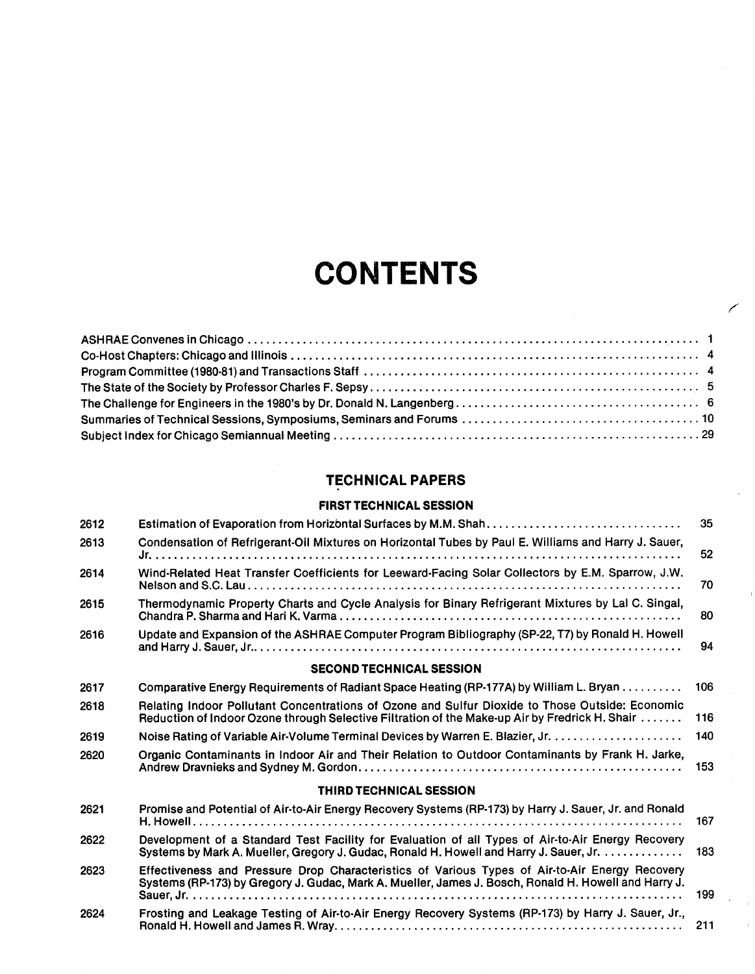# **CONTENTS**

## TECHNICAL PAPERS

#### FIRST TECHNICAL SESSION

| 2612 |                                                                                                                                                                                                        | 35  |
|------|--------------------------------------------------------------------------------------------------------------------------------------------------------------------------------------------------------|-----|
| 2613 | Condensation of Refrigerant-Oil Mixtures on Horizontal Tubes by Paul E. Williams and Harry J. Sauer,                                                                                                   | 52  |
| 2614 | Wind-Related Heat Transfer Coefficients for Leeward-Facing Solar Collectors by E.M. Sparrow, J.W.                                                                                                      | 70  |
| 2615 | Thermodynamic Property Charts and Cycle Analysis for Binary Refrigerant Mixtures by Lal C. Singal,                                                                                                     | 80  |
| 2616 | Update and Expansion of the ASHRAE Computer Program Bibliography (SP-22, T7) by Ronald H. Howell                                                                                                       | 94  |
|      | <b>SECOND TECHNICAL SESSION</b>                                                                                                                                                                        |     |
| 2617 | Comparative Energy Requirements of Radiant Space Heating (RP-177A) by William L. Bryan                                                                                                                 | 106 |
| 2618 | Relating Indoor Pollutant Concentrations of Ozone and Sulfur Dioxide to Those Outside: Economic<br>Reduction of Indoor Ozone through Selective Filtration of the Make-up Air by Fredrick H. Shair      | 116 |
| 2619 |                                                                                                                                                                                                        | 140 |
| 2620 | Organic Contaminants in Indoor Air and Their Relation to Outdoor Contaminants by Frank H. Jarke,                                                                                                       | 153 |
|      | <b>THIRD TECHNICAL SESSION</b>                                                                                                                                                                         |     |
| 2621 | Promise and Potential of Air-to-Air Energy Recovery Systems (RP-173) by Harry J. Sauer, Jr. and Ronald                                                                                                 | 167 |
| 2622 | Development of a Standard Test Facility for Evaluation of all Types of Air-to-Air Energy Recovery<br>Systems by Mark A. Mueller, Gregory J. Gudac, Ronald H. Howell and Harry J. Sauer, Jr.            | 183 |
| 2623 | Effectiveness and Pressure Drop Characteristics of Various Types of Air-to-Air Energy Recovery<br>Systems (RP-173) by Gregory J. Gudac, Mark A. Mueller, James J. Bosch, Ronald H. Howell and Harry J. | 199 |
| 2624 | Frosting and Leakage Testing of Air-to-Air Energy Recovery Systems (RP-173) by Harry J. Sauer, Jr.,                                                                                                    | 211 |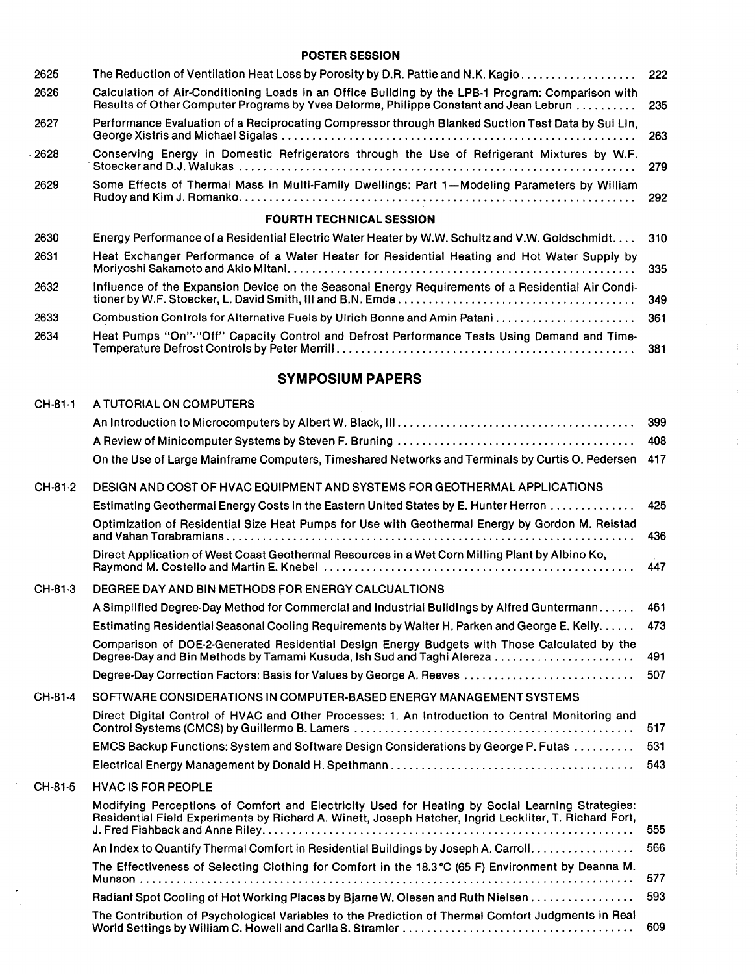### POSTER SESSION

| 2625 | The Reduction of Ventilation Heat Loss by Porosity by D.R. Pattie and N.K. Kagio                                                                                                           | 222 |
|------|--------------------------------------------------------------------------------------------------------------------------------------------------------------------------------------------|-----|
| 2626 | Calculation of Air-Conditioning Loads in an Office Building by the LPB-1 Program: Comparison with<br>Results of Other Computer Programs by Yves Delorme, Philippe Constant and Jean Lebrun | 235 |
| 2627 | Performance Evaluation of a Reciprocating Compressor through Blanked Suction Test Data by Sui Lin,                                                                                         | 263 |
| 2628 | Conserving Energy in Domestic Refrigerators through the Use of Refrigerant Mixtures by W.F.                                                                                                | 279 |
| 2629 | Some Effects of Thermal Mass in Multi-Family Dwellings: Part 1-Modeling Parameters by William                                                                                              | 292 |
|      | <b>FOURTH TECHNICAL SESSION</b>                                                                                                                                                            |     |
| 2630 | Energy Performance of a Residential Electric Water Heater by W.W. Schultz and V.W. Goldschmidt.                                                                                            | 310 |
| 2631 | Heat Exchanger Performance of a Water Heater for Residential Heating and Hot Water Supply by                                                                                               | 335 |
| 2632 | Influence of the Expansion Device on the Seasonal Energy Requirements of a Residential Air Condi-                                                                                          | 349 |
| 2633 |                                                                                                                                                                                            | 361 |
| 2634 | Heat Pumps "On"-"Off" Capacity Control and Defrost Performance Tests Using Demand and Time-                                                                                                | 381 |

## SYMPOSIUM PAPERS

| CH-81-1 | A TUTORIAL ON COMPUTERS                                                                                                                                                                                    |     |
|---------|------------------------------------------------------------------------------------------------------------------------------------------------------------------------------------------------------------|-----|
|         |                                                                                                                                                                                                            | 399 |
|         |                                                                                                                                                                                                            | 408 |
|         | On the Use of Large Mainframe Computers, Timeshared Networks and Terminals by Curtis O. Pedersen                                                                                                           | 417 |
| CH-81-2 | DESIGN AND COST OF HVAC EQUIPMENT AND SYSTEMS FOR GEOTHERMAL APPLICATIONS                                                                                                                                  |     |
|         | Estimating Geothermal Energy Costs in the Eastern United States by E. Hunter Herron                                                                                                                        | 425 |
|         | Optimization of Residential Size Heat Pumps for Use with Geothermal Energy by Gordon M. Reistad                                                                                                            | 436 |
|         | Direct Application of West Coast Geothermal Resources in a Wet Corn Milling Plant by Albino Ko,                                                                                                            | 447 |
| CH-81-3 | DEGREE DAY AND BIN METHODS FOR ENERGY CALCUALTIONS                                                                                                                                                         |     |
|         | A Simplified Degree-Day Method for Commercial and Industrial Buildings by Alfred Guntermann                                                                                                                | 461 |
|         | Estimating Residential Seasonal Cooling Requirements by Walter H. Parken and George E. Kelly.                                                                                                              | 473 |
|         | Comparison of DOE-2-Generated Residential Design Energy Budgets with Those Calculated by the                                                                                                               | 491 |
|         | Degree-Day Correction Factors: Basis for Values by George A. Reeves                                                                                                                                        | 507 |
| CH-81-4 | SOFTWARE CONSIDERATIONS IN COMPUTER-BASED ENERGY MANAGEMENT SYSTEMS                                                                                                                                        |     |
|         | Direct Digital Control of HVAC and Other Processes: 1. An Introduction to Central Monitoring and                                                                                                           | 517 |
|         | EMCS Backup Functions: System and Software Design Considerations by George P. Futas                                                                                                                        | 531 |
|         |                                                                                                                                                                                                            | 543 |
| CH-81-5 | <b>HVAC IS FOR PEOPLE</b>                                                                                                                                                                                  |     |
|         | Modifying Perceptions of Comfort and Electricity Used for Heating by Social Learning Strategies:<br>Residential Field Experiments by Richard A. Winett, Joseph Hatcher, Ingrid Leckliter, T. Richard Fort, | 555 |
|         | An Index to Quantify Thermal Comfort in Residential Buildings by Joseph A. Carroll.                                                                                                                        | 566 |
|         | The Effectiveness of Selecting Clothing for Comfort in the 18.3 °C (65 F) Environment by Deanna M.                                                                                                         | 577 |
|         | Radiant Spot Cooling of Hot Working Places by Bjarne W. Olesen and Ruth Nielsen                                                                                                                            | 593 |
|         | The Contribution of Psychological Variables to the Prediction of Thermal Comfort Judgments in Real                                                                                                         | 609 |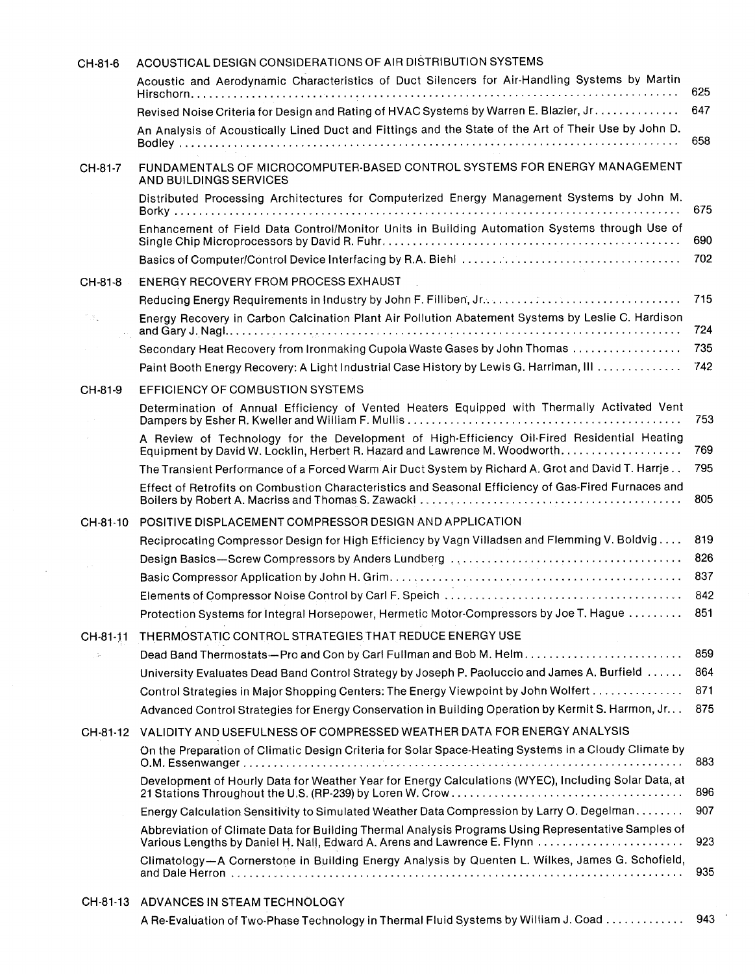| CH-81-6  | ACOUSTICAL DESIGN CONSIDERATIONS OF AIR DISTRIBUTION SYSTEMS                                                                                                                                   |            |
|----------|------------------------------------------------------------------------------------------------------------------------------------------------------------------------------------------------|------------|
|          | Acoustic and Aerodynamic Characteristics of Duct Silencers for Air-Handling Systems by Martin                                                                                                  | 625        |
|          | Revised Noise Criteria for Design and Rating of HVAC Systems by Warren E. Blazier, Jr.<br>An Analysis of Acoustically Lined Duct and Fittings and the State of the Art of Their Use by John D. | 647<br>658 |
| CH-81-7  | FUNDAMENTALS OF MICROCOMPUTER-BASED CONTROL SYSTEMS FOR ENERGY MANAGEMENT<br>AND BUILDINGS SERVICES                                                                                            |            |
|          | Distributed Processing Architectures for Computerized Energy Management Systems by John M.                                                                                                     | 675        |
|          | Enhancement of Field Data Control/Monitor Units in Building Automation Systems through Use of                                                                                                  | 690        |
|          |                                                                                                                                                                                                | 702        |
| CH-81-8  | ENERGY RECOVERY FROM PROCESS EXHAUST                                                                                                                                                           |            |
|          |                                                                                                                                                                                                | 715        |
| 13.      | Energy Recovery in Carbon Calcination Plant Air Pollution Abatement Systems by Leslie C. Hardison                                                                                              | 724        |
|          | Secondary Heat Recovery from Ironmaking Cupola Waste Gases by John Thomas                                                                                                                      | 735        |
|          | Paint Booth Energy Recovery: A Light Industrial Case History by Lewis G. Harriman, III                                                                                                         | 742        |
| CH-81-9  | <b>EFFICIENCY OF COMBUSTION SYSTEMS</b>                                                                                                                                                        |            |
|          | Determination of Annual Efficiency of Vented Heaters Equipped with Thermally Activated Vent                                                                                                    | 753        |
|          | A Review of Technology for the Development of High-Efficiency Oil-Fired Residential Heating<br>Equipment by David W. Locklin, Herbert R. Hazard and Lawrence M. Woodworth                      | 769        |
|          | The Transient Performance of a Forced Warm Air Duct System by Richard A. Grot and David T. Harrje                                                                                              | 795        |
|          | Effect of Retrofits on Combustion Characteristics and Seasonal Efficiency of Gas-Fired Furnaces and                                                                                            | 805        |
| CH-81-10 | POSITIVE DISPLACEMENT COMPRESSOR DESIGN AND APPLICATION                                                                                                                                        |            |
|          | Reciprocating Compressor Design for High Efficiency by Vagn Villadsen and Flemming V. Boldvig                                                                                                  | 819        |
|          |                                                                                                                                                                                                | 826        |
|          |                                                                                                                                                                                                | 837        |
|          |                                                                                                                                                                                                | 842        |
|          | Protection Systems for Integral Horsepower, Hermetic Motor-Compressors by Joe T. Hague                                                                                                         | 851        |
| CH-81-11 | THERMOSTATIC CONTROL STRATEGIES THAT REDUCE ENERGY USE                                                                                                                                         |            |
|          | Dead Band Thermostats—Pro and Con by Carl Fullman and Bob M. Helm                                                                                                                              | 859        |
|          | University Evaluates Dead Band Control Strategy by Joseph P. Paoluccio and James A. Burfield                                                                                                   | 864        |
|          | Control Strategies in Major Shopping Centers: The Energy Viewpoint by John Wolfert                                                                                                             | 871        |
|          | Advanced Control Strategies for Energy Conservation in Building Operation by Kermit S. Harmon, Jr                                                                                              | 875        |
| CH-81-12 | VALIDITY AND USEFULNESS OF COMPRESSED WEATHER DATA FOR ENERGY ANALYSIS                                                                                                                         |            |
|          | On the Preparation of Climatic Design Criteria for Solar Space-Heating Systems in a Cloudy Climate by                                                                                          | 883        |
|          | Development of Hourly Data for Weather Year for Energy Calculations (WYEC), Including Solar Data, at<br>21 Stations Throughout the U.S. (RP-239) by Loren W. Crow                              | 896        |
|          | Energy Calculation Sensitivity to Simulated Weather Data Compression by Larry O. Degelman.                                                                                                     | 907        |
|          | Abbreviation of Climate Data for Building Thermal Analysis Programs Using Representative Samples of                                                                                            | 923        |
|          | Climatology-A Cornerstone in Building Energy Analysis by Quenten L. Wilkes, James G. Schofield,                                                                                                | 935        |
|          | CH-81-13 ADVANCES IN STEAM TECHNOLOGY                                                                                                                                                          |            |

A Re-Evaluation of Two-Phase Technology in Thermal Fluid Systems by William J. Coad . . . . . . . . . . . . 943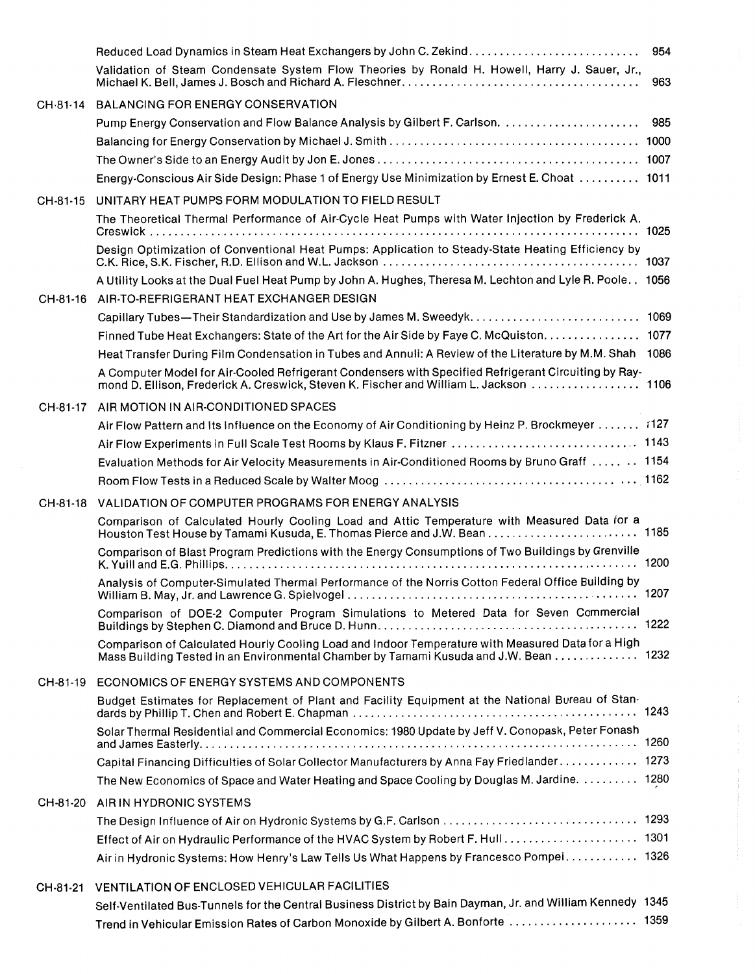|          | Reduced Load Dynamics in Steam Heat Exchangers by John C. Zekind                                                                                                                                | 954 |
|----------|-------------------------------------------------------------------------------------------------------------------------------------------------------------------------------------------------|-----|
|          | Validation of Steam Condensate System Flow Theories by Ronald H. Howell, Harry J. Sauer, Jr.,                                                                                                   | 963 |
| CH-81-14 | <b>BALANCING FOR ENERGY CONSERVATION</b>                                                                                                                                                        |     |
|          |                                                                                                                                                                                                 |     |
|          |                                                                                                                                                                                                 |     |
|          |                                                                                                                                                                                                 |     |
|          | Energy-Conscious Air Side Design: Phase 1 of Energy Use Minimization by Ernest E. Choat  1011                                                                                                   |     |
| CH-81-15 | UNITARY HEAT PUMPS FORM MODULATION TO FIELD RESULT                                                                                                                                              |     |
|          | The Theoretical Thermal Performance of Air-Cycle Heat Pumps with Water Injection by Frederick A.                                                                                                |     |
|          | Design Optimization of Conventional Heat Pumps: Application to Steady-State Heating Efficiency by                                                                                               |     |
|          | A Utility Looks at the Dual Fuel Heat Pump by John A. Hughes, Theresa M. Lechton and Lyle R. Poole 1056                                                                                         |     |
|          | CH-81-16 AIR-TO-REFRIGERANT HEAT EXCHANGER DESIGN                                                                                                                                               |     |
|          |                                                                                                                                                                                                 |     |
|          | Finned Tube Heat Exchangers: State of the Art for the Air Side by Faye C. McQuiston. 1077                                                                                                       |     |
|          | Heat Transfer During Film Condensation in Tubes and Annuli: A Review of the Literature by M.M. Shah 1086                                                                                        |     |
|          | A Computer Model for Air-Cooled Refrigerant Condensers with Specified Refrigerant Circuiting by Ray-<br>mond D. Ellison, Frederick A. Creswick, Steven K. Fischer and William L. Jackson 1106   |     |
|          | CH-81-17 AIR MOTION IN AIR-CONDITIONED SPACES                                                                                                                                                   |     |
|          | Air Flow Pattern and Its Influence on the Economy of Air Conditioning by Heinz P. Brockmeyer 127                                                                                                |     |
|          |                                                                                                                                                                                                 |     |
|          | Evaluation Methods for Air Velocity Measurements in Air-Conditioned Rooms by Bruno Graff  1154                                                                                                  |     |
|          |                                                                                                                                                                                                 |     |
| CH-81-18 | VALIDATION OF COMPUTER PROGRAMS FOR ENERGY ANALYSIS                                                                                                                                             |     |
|          | Comparison of Calculated Hourly Cooling Load and Attic Temperature with Measured Data for a                                                                                                     |     |
|          | Comparison of Blast Program Predictions with the Energy Consumptions of Two Buildings by Grenville                                                                                              |     |
|          | Analysis of Computer-Simulated Thermal Performance of the Norris Cotton Federal Office Building by                                                                                              |     |
|          | Comparison of DOE-2 Computer Program Simulations to Metered Data for Seven Commercial                                                                                                           |     |
|          | Comparison of Calculated Hourly Cooling Load and Indoor Temperature with Measured Data for a High<br>Mass Building Tested in an Environmental Chamber by Tamami Kusuda and J.W. Bean 1232       |     |
| CH-81-19 | ECONOMICS OF ENERGY SYSTEMS AND COMPONENTS                                                                                                                                                      |     |
|          | Budget Estimates for Replacement of Plant and Facility Equipment at the National Bureau of Stan-                                                                                                |     |
|          | Solar Thermal Residential and Commercial Economics: 1980 Update by Jeff V. Conopask, Peter Fonash                                                                                               |     |
|          | Capital Financing Difficulties of Solar Collector Manufacturers by Anna Fay Friedlander 1273                                                                                                    |     |
|          | The New Economics of Space and Water Heating and Space Cooling by Douglas M. Jardine.  1280                                                                                                     |     |
| CH-81-20 | AIR IN HYDRONIC SYSTEMS                                                                                                                                                                         |     |
|          |                                                                                                                                                                                                 |     |
|          |                                                                                                                                                                                                 |     |
|          | Air in Hydronic Systems: How Henry's Law Tells Us What Happens by Francesco Pompei 1326                                                                                                         |     |
| CH-81-21 | VENTILATION OF ENCLOSED VEHICULAR FACILITIES                                                                                                                                                    |     |
|          | Self-Ventilated Bus-Tunnels for the Central Business District by Bain Dayman, Jr. and William Kennedy 1345<br>Trend in Vehicular Emission Rates of Carbon Monoxide by Gilbert A. Bonforte  1359 |     |